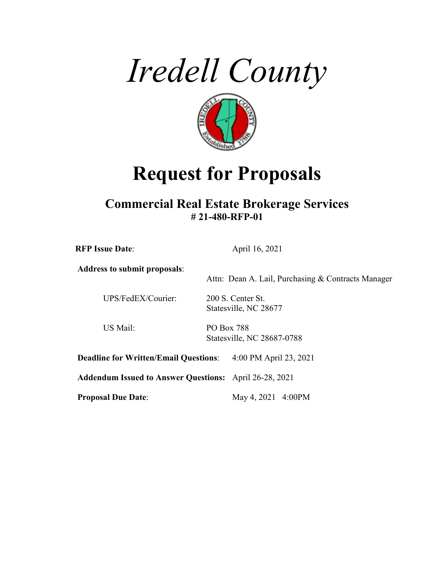



# **Request for Proposals**

## **Commercial Real Estate Brokerage Services # 21-480-RFP-01**

| <b>RFP Issue Date:</b>                                        |                   | April 16, 2021                                     |
|---------------------------------------------------------------|-------------------|----------------------------------------------------|
| <b>Address to submit proposals:</b>                           |                   | Attn: Dean A. Lail, Purchasing & Contracts Manager |
| UPS/FedEX/Courier:                                            |                   | 200 S. Center St.<br>Statesville, NC 28677         |
| US Mail:                                                      | <b>PO Box 788</b> | Statesville, NC 28687-0788                         |
| <b>Deadline for Written/Email Questions:</b>                  |                   | 4:00 PM April 23, 2021                             |
| <b>Addendum Issued to Answer Questions:</b> April 26-28, 2021 |                   |                                                    |
| <b>Proposal Due Date:</b>                                     |                   | May 4, 2021 4:00PM                                 |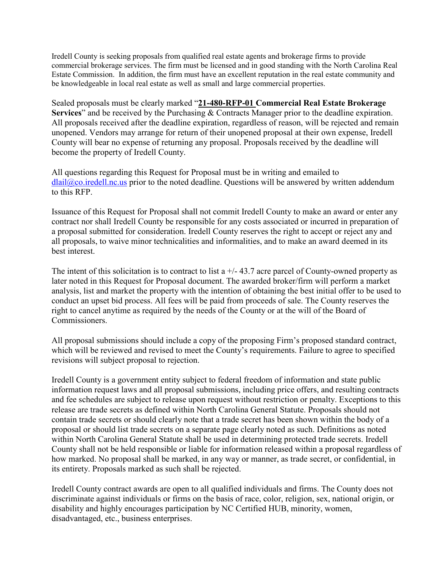Iredell County is seeking proposals from qualified real estate agents and brokerage firms to provide commercial brokerage services. The firm must be licensed and in good standing with the North Carolina Real Estate Commission. In addition, the firm must have an excellent reputation in the real estate community and be knowledgeable in local real estate as well as small and large commercial properties.

Sealed proposals must be clearly marked "**21-480-RFP-01 Commercial Real Estate Brokerage Services**" and be received by the Purchasing & Contracts Manager prior to the deadline expiration. All proposals received after the deadline expiration, regardless of reason, will be rejected and remain unopened. Vendors may arrange for return of their unopened proposal at their own expense, Iredell County will bear no expense of returning any proposal. Proposals received by the deadline will become the property of Iredell County.

All questions regarding this Request for Proposal must be in writing and emailed to  $dla@co.iredell.nc.us prior to the noted deadline. Questions will be answered by written addendum$ to this RFP.

Issuance of this Request for Proposal shall not commit Iredell County to make an award or enter any contract nor shall Iredell County be responsible for any costs associated or incurred in preparation of a proposal submitted for consideration. Iredell County reserves the right to accept or reject any and all proposals, to waive minor technicalities and informalities, and to make an award deemed in its best interest.

The intent of this solicitation is to contract to list a  $+/- 43.7$  acre parcel of County-owned property as later noted in this Request for Proposal document. The awarded broker/firm will perform a market analysis, list and market the property with the intention of obtaining the best initial offer to be used to conduct an upset bid process. All fees will be paid from proceeds of sale. The County reserves the right to cancel anytime as required by the needs of the County or at the will of the Board of Commissioners.

All proposal submissions should include a copy of the proposing Firm's proposed standard contract, which will be reviewed and revised to meet the County's requirements. Failure to agree to specified revisions will subject proposal to rejection.

Iredell County is a government entity subject to federal freedom of information and state public information request laws and all proposal submissions, including price offers, and resulting contracts and fee schedules are subject to release upon request without restriction or penalty. Exceptions to this release are trade secrets as defined within North Carolina General Statute. Proposals should not contain trade secrets or should clearly note that a trade secret has been shown within the body of a proposal or should list trade secrets on a separate page clearly noted as such. Definitions as noted within North Carolina General Statute shall be used in determining protected trade secrets. Iredell County shall not be held responsible or liable for information released within a proposal regardless of how marked. No proposal shall be marked, in any way or manner, as trade secret, or confidential, in its entirety. Proposals marked as such shall be rejected.

Iredell County contract awards are open to all qualified individuals and firms. The County does not discriminate against individuals or firms on the basis of race, color, religion, sex, national origin, or disability and highly encourages participation by NC Certified HUB, minority, women, disadvantaged, etc., business enterprises.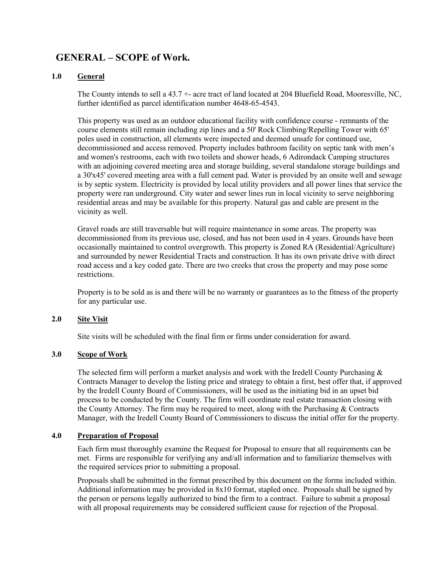### **GENERAL – SCOPE of Work.**

#### **1.0 General**

The County intends to sell a 43.7 +- acre tract of land located at 204 Bluefield Road, Mooresville, NC, further identified as parcel identification number 4648-65-4543.

This property was used as an outdoor educational facility with confidence course - remnants of the course elements still remain including zip lines and a 50' Rock Climbing/Repelling Tower with 65' poles used in construction, all elements were inspected and deemed unsafe for continued use, decommissioned and access removed. Property includes bathroom facility on septic tank with men's and women's restrooms, each with two toilets and shower heads, 6 Adirondack Camping structures with an adjoining covered meeting area and storage building, several standalone storage buildings and a 30'x45' covered meeting area with a full cement pad. Water is provided by an onsite well and sewage is by septic system. Electricity is provided by local utility providers and all power lines that service the property were ran underground. City water and sewer lines run in local vicinity to serve neighboring residential areas and may be available for this property. Natural gas and cable are present in the vicinity as well.

Gravel roads are still traversable but will require maintenance in some areas. The property was decommissioned from its previous use, closed, and has not been used in 4 years. Grounds have been occasionally maintained to control overgrowth. This property is Zoned RA (Residential/Agriculture) and surrounded by newer Residential Tracts and construction. It has its own private drive with direct road access and a key coded gate. There are two creeks that cross the property and may pose some restrictions.

Property is to be sold as is and there will be no warranty or guarantees as to the fitness of the property for any particular use.

#### **2.0 Site Visit**

Site visits will be scheduled with the final firm or firms under consideration for award.

#### **3.0 Scope of Work**

The selected firm will perform a market analysis and work with the Iredell County Purchasing  $\&$ Contracts Manager to develop the listing price and strategy to obtain a first, best offer that, if approved by the Iredell County Board of Commissioners, will be used as the initiating bid in an upset bid process to be conducted by the County. The firm will coordinate real estate transaction closing with the County Attorney. The firm may be required to meet, along with the Purchasing  $&$  Contracts Manager, with the Iredell County Board of Commissioners to discuss the initial offer for the property.

#### **4.0 Preparation of Proposal**

Each firm must thoroughly examine the Request for Proposal to ensure that all requirements can be met. Firms are responsible for verifying any and/all information and to familiarize themselves with the required services prior to submitting a proposal.

Proposals shall be submitted in the format prescribed by this document on the forms included within. Additional information may be provided in 8x10 format, stapled once. Proposals shall be signed by the person or persons legally authorized to bind the firm to a contract. Failure to submit a proposal with all proposal requirements may be considered sufficient cause for rejection of the Proposal.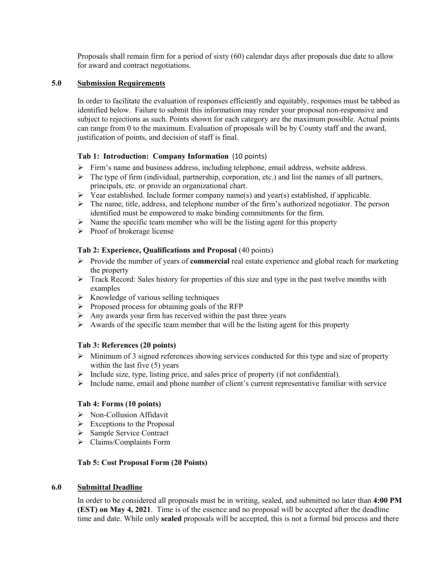Proposals shall remain firm for a period of sixty (60) calendar days after proposals due date to allow for award and contract negotiations.

#### **5.0 Submission Requirements**

In order to facilitate the evaluation of responses efficiently and equitably, responses must be tabbed as identified below. Failure to submit this information may render your proposal non-responsive and subject to rejections as such. Points shown for each category are the maximum possible. Actual points can range from 0 to the maximum. Evaluation of proposals will be by County staff and the award, justification of points, and decision of staff is final.

#### **Tab 1: Introduction: Company Information** (10 points)

- $\triangleright$  Firm's name and business address, including telephone, email address, website address.
- $\triangleright$  The type of firm (individual, partnership, corporation, etc.) and list the names of all partners, principals, etc. or provide an organizational chart.
- Year established. Include former company name(s) and year(s) established, if applicable.
- $\triangleright$  The name, title, address, and telephone number of the firm's authorized negotiator. The person identified must be empowered to make binding commitments for the firm.
- $\triangleright$  Name the specific team member who will be the listing agent for this property
- $\triangleright$  Proof of brokerage license

#### **Tab 2: Experience, Qualifications and Proposal** (40 points)

- Provide the number of years of **commercial** real estate experience and global reach for marketing the property
- $\triangleright$  Track Record: Sales history for properties of this size and type in the past twelve months with examples
- $\triangleright$  Knowledge of various selling techniques
- $\triangleright$  Proposed process for obtaining goals of the RFP
- $\triangleright$  Any awards your firm has received within the past three years
- $\triangleright$  Awards of the specific team member that will be the listing agent for this property

#### **Tab 3: References (20 points)**

- $\triangleright$  Minimum of 3 signed references showing services conducted for this type and size of property within the last five (5) years
- $\triangleright$  Include size, type, listing price, and sales price of property (if not confidential).
- $\triangleright$  Include name, email and phone number of client's current representative familiar with service

#### **Tab 4: Forms (10 points)**

- $\triangleright$  Non-Collusion Affidavit
- $\triangleright$  Exceptions to the Proposal
- Sample Service Contract
- Claims/Complaints Form

#### **Tab 5: Cost Proposal Form (20 Points)**

#### **6.0 Submittal Deadline**

In order to be considered all proposals must be in writing, sealed, and submitted no later than **4:00 PM (EST) on May 4, 2021**. Time is of the essence and no proposal will be accepted after the deadline time and date. While only **sealed** proposals will be accepted, this is not a formal bid process and there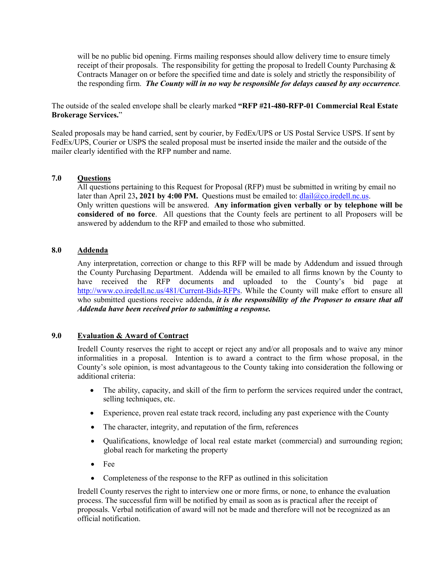will be no public bid opening. Firms mailing responses should allow delivery time to ensure timely receipt of their proposals. The responsibility for getting the proposal to Iredell County Purchasing  $\&$ Contracts Manager on or before the specified time and date is solely and strictly the responsibility of the responding firm. *The County will in no way be responsible for delays caused by any occurrence.*

The outside of the sealed envelope shall be clearly marked **"RFP #21-480-RFP-01 Commercial Real Estate Brokerage Services.**"

Sealed proposals may be hand carried, sent by courier, by FedEx/UPS or US Postal Service USPS. If sent by FedEx/UPS, Courier or USPS the sealed proposal must be inserted inside the mailer and the outside of the mailer clearly identified with the RFP number and name.

#### **7.0 Questions**

All questions pertaining to this Request for Proposal (RFP) must be submitted in writing by email no later than April 23, 2021 by 4:00 PM. Ouestions must be emailed to:  $dlail@co.iredell.nc.us.$ Only written questions will be answered. **Any information given verbally or by telephone will be considered of no force**. All questions that the County feels are pertinent to all Proposers will be answered by addendum to the RFP and emailed to those who submitted.

#### **8.0 Addenda**

Any interpretation, correction or change to this RFP will be made by Addendum and issued through the County Purchasing Department. Addenda will be emailed to all firms known by the County to have received the RFP documents and uploaded to the County's bid page at [http://www.co.iredell.nc.us/481/Current-Bids-RFPs.](http://www.co.iredell.nc.us/481/Current-Bids-RFPs) While the County will make effort to ensure all who submitted questions receive addenda, *it is the responsibility of the Proposer to ensure that all Addenda have been received prior to submitting a response.* 

#### **9.0 Evaluation & Award of Contract**

Iredell County reserves the right to accept or reject any and/or all proposals and to waive any minor informalities in a proposal. Intention is to award a contract to the firm whose proposal, in the County's sole opinion, is most advantageous to the County taking into consideration the following or additional criteria:

- The ability, capacity, and skill of the firm to perform the services required under the contract, selling techniques, etc.
- Experience, proven real estate track record, including any past experience with the County
- The character, integrity, and reputation of the firm, references
- Qualifications, knowledge of local real estate market (commercial) and surrounding region; global reach for marketing the property
- Fee
- Completeness of the response to the RFP as outlined in this solicitation

Iredell County reserves the right to interview one or more firms, or none, to enhance the evaluation process. The successful firm will be notified by email as soon as is practical after the receipt of proposals. Verbal notification of award will not be made and therefore will not be recognized as an official notification.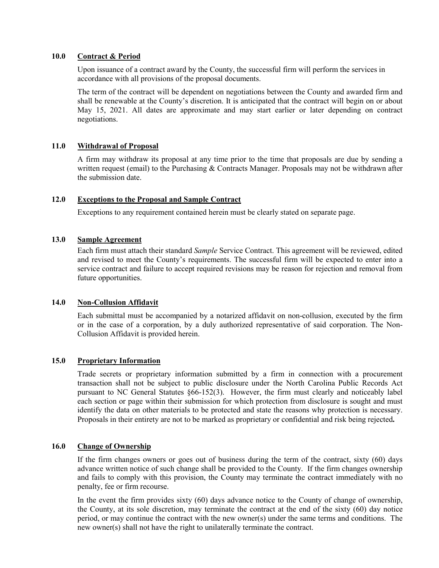#### **10.0 Contract & Period**

Upon issuance of a contract award by the County, the successful firm will perform the services in accordance with all provisions of the proposal documents.

The term of the contract will be dependent on negotiations between the County and awarded firm and shall be renewable at the County's discretion. It is anticipated that the contract will begin on or about May 15, 2021. All dates are approximate and may start earlier or later depending on contract negotiations.

#### **11.0 Withdrawal of Proposal**

A firm may withdraw its proposal at any time prior to the time that proposals are due by sending a written request (email) to the Purchasing  $&$  Contracts Manager. Proposals may not be withdrawn after the submission date.

#### **12.0 Exceptions to the Proposal and Sample Contract**

Exceptions to any requirement contained herein must be clearly stated on separate page.

#### **13.0 Sample Agreement**

Each firm must attach their standard *Sample* Service Contract. This agreement will be reviewed, edited and revised to meet the County's requirements. The successful firm will be expected to enter into a service contract and failure to accept required revisions may be reason for rejection and removal from future opportunities.

#### **14.0 Non-Collusion Affidavit**

Each submittal must be accompanied by a notarized affidavit on non-collusion, executed by the firm or in the case of a corporation, by a duly authorized representative of said corporation. The Non-Collusion Affidavit is provided herein.

#### **15.0 Proprietary Information**

Trade secrets or proprietary information submitted by a firm in connection with a procurement transaction shall not be subject to public disclosure under the North Carolina Public Records Act pursuant to NC General Statutes §66-152(3). However, the firm must clearly and noticeably label each section or page within their submission for which protection from disclosure is sought and must identify the data on other materials to be protected and state the reasons why protection is necessary. Proposals in their entirety are not to be marked as proprietary or confidential and risk being rejected**.**

#### **16.0 Change of Ownership**

If the firm changes owners or goes out of business during the term of the contract, sixty (60) days advance written notice of such change shall be provided to the County. If the firm changes ownership and fails to comply with this provision, the County may terminate the contract immediately with no penalty, fee or firm recourse.

In the event the firm provides sixty (60) days advance notice to the County of change of ownership, the County, at its sole discretion, may terminate the contract at the end of the sixty (60) day notice period, or may continue the contract with the new owner(s) under the same terms and conditions. The new owner(s) shall not have the right to unilaterally terminate the contract.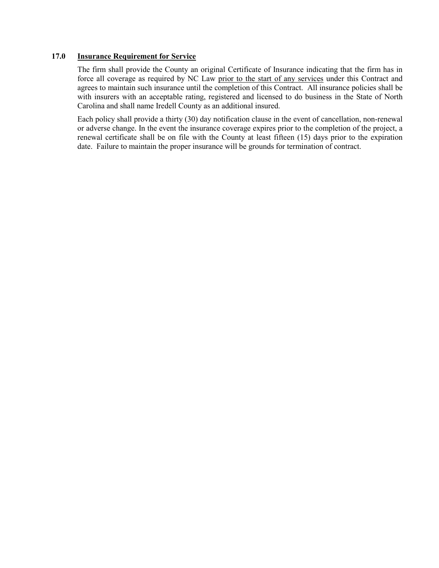#### **17.0 Insurance Requirement for Service**

The firm shall provide the County an original Certificate of Insurance indicating that the firm has in force all coverage as required by NC Law prior to the start of any services under this Contract and agrees to maintain such insurance until the completion of this Contract. All insurance policies shall be with insurers with an acceptable rating, registered and licensed to do business in the State of North Carolina and shall name Iredell County as an additional insured.

Each policy shall provide a thirty (30) day notification clause in the event of cancellation, non-renewal or adverse change. In the event the insurance coverage expires prior to the completion of the project, a renewal certificate shall be on file with the County at least fifteen (15) days prior to the expiration date. Failure to maintain the proper insurance will be grounds for termination of contract.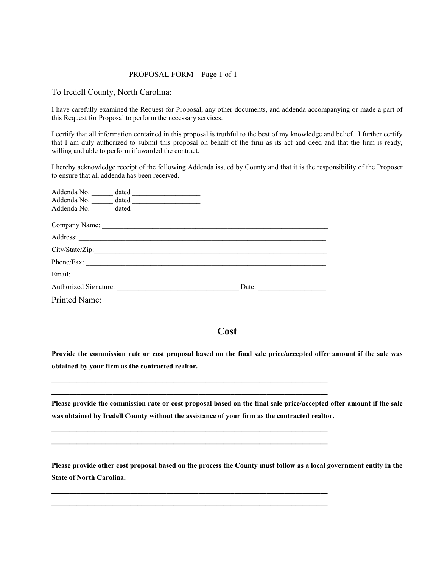#### PROPOSAL FORM – Page 1 of 1

To Iredell County, North Carolina:

I have carefully examined the Request for Proposal, any other documents, and addenda accompanying or made a part of this Request for Proposal to perform the necessary services.

I certify that all information contained in this proposal is truthful to the best of my knowledge and belief. I further certify that I am duly authorized to submit this proposal on behalf of the firm as its act and deed and that the firm is ready, willing and able to perform if awarded the contract.

I hereby acknowledge receipt of the following Addenda issued by County and that it is the responsibility of the Proposer to ensure that all addenda has been received.

| Addenda No.                       | dated |       |  |
|-----------------------------------|-------|-------|--|
| Addenda No.                       | dated |       |  |
| Addenda No.                       | dated |       |  |
| Company Name: <u>Company Name</u> |       |       |  |
| Address:                          |       |       |  |
| City/State/Zip:                   |       |       |  |
| Phone/Fax:                        |       |       |  |
| Email:                            |       |       |  |
|                                   |       | Date: |  |
| <b>Printed Name:</b>              |       |       |  |

**Cost**

**Provide the commission rate or cost proposal based on the final sale price/accepted offer amount if the sale was obtained by your firm as the contracted realtor.**

**\_\_\_\_\_\_\_\_\_\_\_\_\_\_\_\_\_\_\_\_\_\_\_\_\_\_\_\_\_\_\_\_\_\_\_\_\_\_\_\_\_\_\_\_\_\_\_\_\_\_\_\_\_\_\_\_\_\_\_\_\_\_\_\_\_\_\_\_\_\_\_\_\_\_\_\_\_ \_\_\_\_\_\_\_\_\_\_\_\_\_\_\_\_\_\_\_\_\_\_\_\_\_\_\_\_\_\_\_\_\_\_\_\_\_\_\_\_\_\_\_\_\_\_\_\_\_\_\_\_\_\_\_\_\_\_\_\_\_\_\_\_\_\_\_\_\_\_\_\_\_\_\_\_\_**

**\_\_\_\_\_\_\_\_\_\_\_\_\_\_\_\_\_\_\_\_\_\_\_\_\_\_\_\_\_\_\_\_\_\_\_\_\_\_\_\_\_\_\_\_\_\_\_\_\_\_\_\_\_\_\_\_\_\_\_\_\_\_\_\_\_\_\_\_\_\_\_\_\_\_\_\_\_ \_\_\_\_\_\_\_\_\_\_\_\_\_\_\_\_\_\_\_\_\_\_\_\_\_\_\_\_\_\_\_\_\_\_\_\_\_\_\_\_\_\_\_\_\_\_\_\_\_\_\_\_\_\_\_\_\_\_\_\_\_\_\_\_\_\_\_\_\_\_\_\_\_\_\_\_\_**

**\_\_\_\_\_\_\_\_\_\_\_\_\_\_\_\_\_\_\_\_\_\_\_\_\_\_\_\_\_\_\_\_\_\_\_\_\_\_\_\_\_\_\_\_\_\_\_\_\_\_\_\_\_\_\_\_\_\_\_\_\_\_\_\_\_\_\_\_\_\_\_\_\_\_\_\_\_ \_\_\_\_\_\_\_\_\_\_\_\_\_\_\_\_\_\_\_\_\_\_\_\_\_\_\_\_\_\_\_\_\_\_\_\_\_\_\_\_\_\_\_\_\_\_\_\_\_\_\_\_\_\_\_\_\_\_\_\_\_\_\_\_\_\_\_\_\_\_\_\_\_\_\_\_\_**

**Please provide the commission rate or cost proposal based on the final sale price/accepted offer amount if the sale was obtained by Iredell County without the assistance of your firm as the contracted realtor.**

**Please provide other cost proposal based on the process the County must follow as a local government entity in the State of North Carolina.**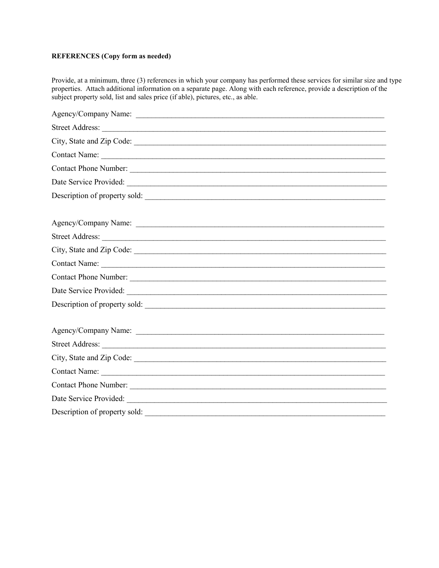#### **REFERENCES (Copy form as needed)**

Provide, at a minimum, three (3) references in which your company has performed these services for similar size and type properties. Attach additional information on a separate page. Along with each reference, provide a description of the subject property sold, list and sales price (if able), pictures, etc., as able.

| Description of property sold: |
|-------------------------------|
|                               |
|                               |
|                               |
|                               |
|                               |
|                               |
|                               |
| Description of property sold: |
|                               |
|                               |
|                               |
| City, State and Zip Code:     |
|                               |
|                               |
|                               |
| Description of property sold: |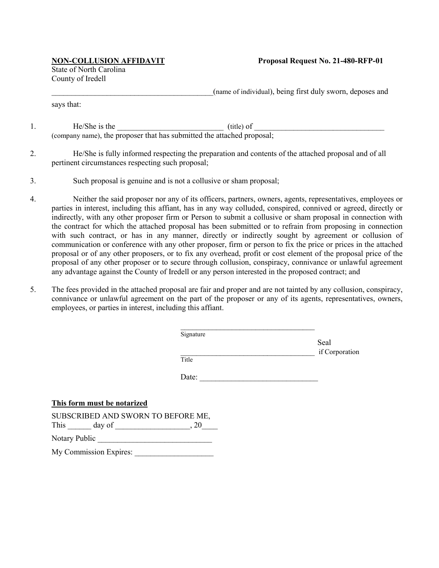State of North Carolina County of Iredell

\_\_\_\_\_\_\_\_\_\_\_\_\_\_\_\_\_\_\_\_\_\_\_\_\_\_\_\_\_\_\_\_\_\_\_\_\_\_\_\_\_(name of individual), being first duly sworn, deposes and

says that:

1. He/She is the  $\qquad$  (title) of (company name), the proposer that has submitted the attached proposal;

- 2. He/She is fully informed respecting the preparation and contents of the attached proposal and of all pertinent circumstances respecting such proposal;
- 3. Such proposal is genuine and is not a collusive or sham proposal;
- 4. Neither the said proposer nor any of its officers, partners, owners, agents, representatives, employees or parties in interest, including this affiant, has in any way colluded, conspired, connived or agreed, directly or indirectly, with any other proposer firm or Person to submit a collusive or sham proposal in connection with the contract for which the attached proposal has been submitted or to refrain from proposing in connection with such contract, or has in any manner, directly or indirectly sought by agreement or collusion of communication or conference with any other proposer, firm or person to fix the price or prices in the attached proposal or of any other proposers, or to fix any overhead, profit or cost element of the proposal price of the proposal of any other proposer or to secure through collusion, conspiracy, connivance or unlawful agreement any advantage against the County of Iredell or any person interested in the proposed contract; and
- 5. The fees provided in the attached proposal are fair and proper and are not tainted by any collusion, conspiracy, connivance or unlawful agreement on the part of the proposer or any of its agents, representatives, owners, employees, or parties in interest, including this affiant.

|                                                        | Signature | Seal           |
|--------------------------------------------------------|-----------|----------------|
|                                                        | Title     | if Corporation |
|                                                        | Date:     |                |
| This form must be notarized                            |           |                |
| SUBSCRIBED AND SWORN TO BEFORE ME,<br>This day of , 20 |           |                |
| Notary Public                                          |           |                |
| My Commission Expires:                                 |           |                |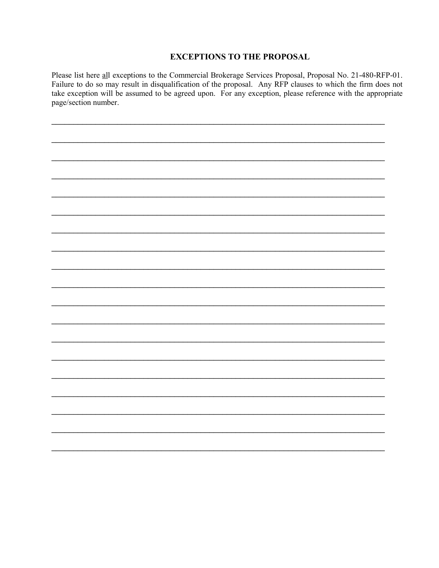#### **EXCEPTIONS TO THE PROPOSAL**

Please list here all exceptions to the Commercial Brokerage Services Proposal, Proposal No. 21-480-RFP-01. Failure to do so may result in disqualification of the proposal. Any RFP clauses to which the firm does not take exception will be assumed to be agreed upon. For any exception, please reference with the appropriate page/section number.